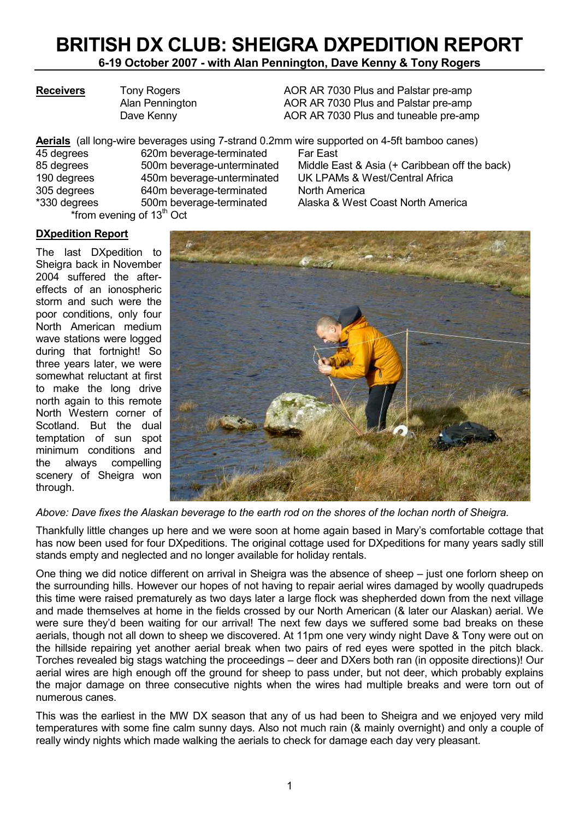# BRITISH DX CLUB: SHEIGRA DXPEDITION REPORT

6-19 October 2007 - with Alan Pennington, Dave Kenny & Tony Rogers

Receivers Tony Rogers **AOR AR 7030 Plus and Palstar pre-amp** Alan Pennington AOR AR 7030 Plus and Palstar pre-amp Dave Kenny **AOR AR 7030 Plus and tuneable pre-amp** 

Aerials (all long-wire beverages using 7-strand 0.2mm wire supported on 4-5ft bamboo canes) 45 degrees 620m beverage-terminated Far East<br>85 degrees 600m beverage-unterminated Middle Ea Middle East & Asia (+ Caribbean off the back) 190 degrees 450m beverage-unterminated UK LPAMs & West/Central Africa 305 degrees 640m beverage-terminated North America \*330 degrees 500m beverage-terminated Alaska & West Coast North America \*from evening of  $13<sup>th</sup>$  Oct

#### DXpedition Report

The last DXpedition to Sheigra back in November 2004 suffered the aftereffects of an ionospheric storm and such were the poor conditions, only four North American medium wave stations were logged during that fortnight! So three years later, we were somewhat reluctant at first to make the long drive north again to this remote North Western corner of Scotland. But the dual temptation of sun spot minimum conditions and the always compelling scenery of Sheigra won through.



Above: Dave fixes the Alaskan beverage to the earth rod on the shores of the lochan north of Sheigra.

Thankfully little changes up here and we were soon at home again based in Mary's comfortable cottage that has now been used for four DXpeditions. The original cottage used for DXpeditions for many years sadly still stands empty and neglected and no longer available for holiday rentals.

One thing we did notice different on arrival in Sheigra was the absence of sheep – just one forlorn sheep on the surrounding hills. However our hopes of not having to repair aerial wires damaged by woolly quadrupeds this time were raised prematurely as two days later a large flock was shepherded down from the next village and made themselves at home in the fields crossed by our North American (& later our Alaskan) aerial. We were sure they'd been waiting for our arrival! The next few days we suffered some bad breaks on these aerials, though not all down to sheep we discovered. At 11pm one very windy night Dave & Tony were out on the hillside repairing yet another aerial break when two pairs of red eyes were spotted in the pitch black. Torches revealed big stags watching the proceedings – deer and DXers both ran (in opposite directions)! Our aerial wires are high enough off the ground for sheep to pass under, but not deer, which probably explains the major damage on three consecutive nights when the wires had multiple breaks and were torn out of numerous canes.

This was the earliest in the MW DX season that any of us had been to Sheigra and we enjoyed very mild temperatures with some fine calm sunny days. Also not much rain (& mainly overnight) and only a couple of really windy nights which made walking the aerials to check for damage each day very pleasant.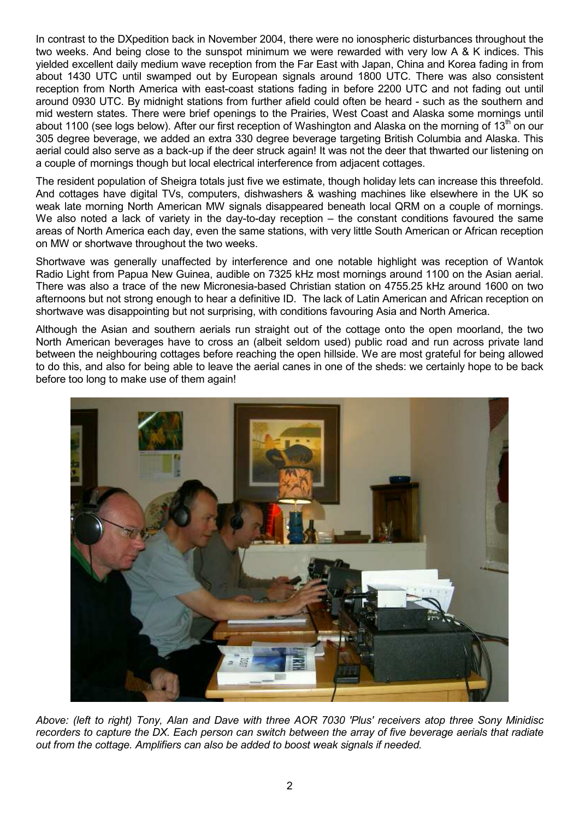In contrast to the DXpedition back in November 2004, there were no ionospheric disturbances throughout the two weeks. And being close to the sunspot minimum we were rewarded with very low A & K indices. This yielded excellent daily medium wave reception from the Far East with Japan, China and Korea fading in from about 1430 UTC until swamped out by European signals around 1800 UTC. There was also consistent reception from North America with east-coast stations fading in before 2200 UTC and not fading out until around 0930 UTC. By midnight stations from further afield could often be heard - such as the southern and mid western states. There were brief openings to the Prairies, West Coast and Alaska some mornings until about 1100 (see logs below). After our first reception of Washington and Alaska on the morning of 13<sup>th</sup> on our 305 degree beverage, we added an extra 330 degree beverage targeting British Columbia and Alaska. This aerial could also serve as a back-up if the deer struck again! It was not the deer that thwarted our listening on a couple of mornings though but local electrical interference from adjacent cottages.

The resident population of Sheigra totals just five we estimate, though holiday lets can increase this threefold. And cottages have digital TVs, computers, dishwashers & washing machines like elsewhere in the UK so weak late morning North American MW signals disappeared beneath local QRM on a couple of mornings. We also noted a lack of variety in the day-to-day reception – the constant conditions favoured the same areas of North America each day, even the same stations, with very little South American or African reception on MW or shortwave throughout the two weeks.

Shortwave was generally unaffected by interference and one notable highlight was reception of Wantok Radio Light from Papua New Guinea, audible on 7325 kHz most mornings around 1100 on the Asian aerial. There was also a trace of the new Micronesia-based Christian station on 4755.25 kHz around 1600 on two afternoons but not strong enough to hear a definitive ID. The lack of Latin American and African reception on shortwave was disappointing but not surprising, with conditions favouring Asia and North America.

Although the Asian and southern aerials run straight out of the cottage onto the open moorland, the two North American beverages have to cross an (albeit seldom used) public road and run across private land between the neighbouring cottages before reaching the open hillside. We are most grateful for being allowed to do this, and also for being able to leave the aerial canes in one of the sheds: we certainly hope to be back before too long to make use of them again!



Above: (left to right) Tony, Alan and Dave with three AOR 7030 'Plus' receivers atop three Sony Minidisc recorders to capture the DX. Each person can switch between the array of five beverage aerials that radiate out from the cottage. Amplifiers can also be added to boost weak signals if needed.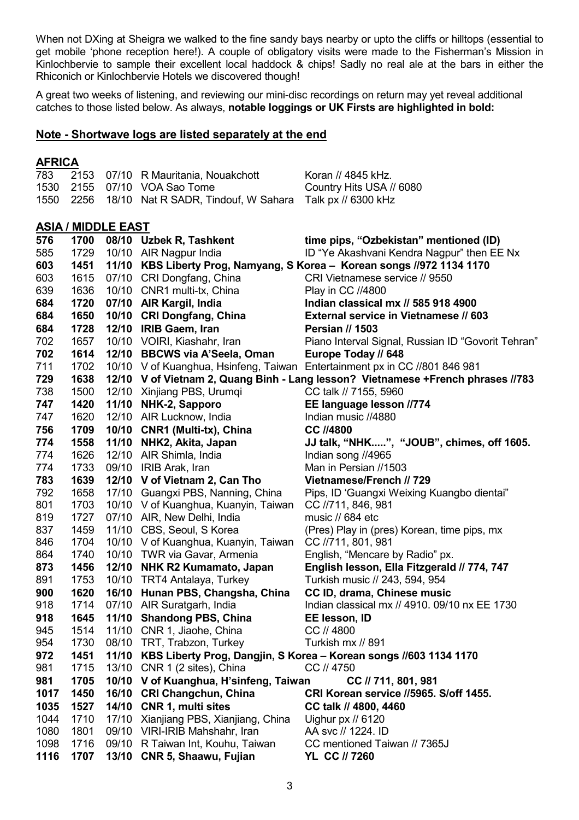When not DXing at Sheigra we walked to the fine sandy bays nearby or upto the cliffs or hilltops (essential to get mobile 'phone reception here!). A couple of obligatory visits were made to the Fisherman's Mission in Kinlochbervie to sample their excellent local haddock & chips! Sadly no real ale at the bars in either the Rhiconich or Kinlochbervie Hotels we discovered though!

A great two weeks of listening, and reviewing our mini-disc recordings on return may yet reveal additional catches to those listed below. As always, notable loggings or UK Firsts are highlighted in bold:

## Note - Shortwave logs are listed separately at the end

## **AFRICA**

| , , , , , , , , |              |                           |                                                                     |                                                                                  |
|-----------------|--------------|---------------------------|---------------------------------------------------------------------|----------------------------------------------------------------------------------|
| 783             | 2153         |                           | 07/10 R Mauritania, Nouakchott                                      | Koran // 4845 kHz.                                                               |
| 1530            | 2155         |                           | 07/10 VOA Sao Tome                                                  | Country Hits USA // 6080                                                         |
| 1550            | 2256         |                           | 18/10 Nat R SADR, Tindouf, W Sahara                                 | Talk px // 6300 kHz                                                              |
|                 |              |                           |                                                                     |                                                                                  |
|                 |              | <b>ASIA / MIDDLE EAST</b> |                                                                     |                                                                                  |
| 576             | 1700         |                           | 08/10 Uzbek R, Tashkent                                             | time pips, "Ozbekistan" mentioned (ID)                                           |
| 585             | 1729         |                           | 10/10 AIR Nagpur India                                              | ID "Ye Akashvani Kendra Nagpur" then EE Nx                                       |
| 603             | 1451         |                           |                                                                     | 11/10 KBS Liberty Prog, Namyang, S Korea - Korean songs //972 1134 1170          |
| 603             | 1615         |                           | 07/10 CRI Dongfang, China                                           | CRI Vietnamese service // 9550                                                   |
| 639             | 1636         |                           | 10/10 CNR1 multi-tx, China                                          | Play in CC //4800                                                                |
| 684             | 1720         |                           | 07/10 AIR Kargil, India                                             | Indian classical mx // 585 918 4900                                              |
| 684             | 1650         |                           | 10/10 CRI Dongfang, China                                           | <b>External service in Vietnamese // 603</b>                                     |
| 684             | 1728         | 12/10                     | <b>IRIB Gaem, Iran</b>                                              | <b>Persian // 1503</b>                                                           |
| 702             | 1657         |                           | 10/10 VOIRI, Kiashahr, Iran                                         | Piano Interval Signal, Russian ID "Govorit Tehran"                               |
| 702             | 1614         | 12/10                     | <b>BBCWS via A'Seela, Oman</b>                                      | Europe Today // 648                                                              |
| 711             | 1702         |                           | 10/10 V of Kuanghua, Hsinfeng, Taiwan                               | Entertainment px in CC //801 846 981                                             |
| 729             | 1638         |                           |                                                                     | 12/10 V of Vietnam 2, Quang Binh - Lang lesson? Vietnamese +French phrases //783 |
| 738             | 1500         |                           | 12/10 Xinjiang PBS, Urumqi                                          | CC talk // 7155, 5960                                                            |
| 747             | 1420         | 11/10                     | NHK-2, Sapporo                                                      | EE language lesson //774                                                         |
| 747             | 1620         |                           | 12/10 AIR Lucknow, India                                            | Indian music //4880                                                              |
| 756             | 1709         | 10/10                     | CNR1 (Multi-tx), China                                              | <b>CC //4800</b>                                                                 |
| 774             | 1558         | 11/10                     | NHK2, Akita, Japan                                                  | JJ talk, "NHK", "JOUB", chimes, off 1605.                                        |
| 774             | 1626         |                           | 12/10 AIR Shimla, India                                             | Indian song //4965                                                               |
| 774             | 1733         |                           | 09/10 IRIB Arak, Iran                                               | Man in Persian //1503                                                            |
| 783             | 1639         | 17/10                     | 12/10 V of Vietnam 2, Can Tho                                       | Vietnamese/French // 729                                                         |
| 792<br>801      | 1658<br>1703 |                           | Guangxi PBS, Nanning, China<br>10/10 V of Kuanghua, Kuanyin, Taiwan | Pips, ID 'Guangxi Weixing Kuangbo dientai"<br>CC //711, 846, 981                 |
| 819             | 1727         |                           | 07/10 AIR, New Delhi, India                                         | music // 684 etc                                                                 |
| 837             | 1459         |                           | 11/10 CBS, Seoul, S Korea                                           | (Pres) Play in (pres) Korean, time pips, mx                                      |
| 846             | 1704         |                           | 10/10 V of Kuanghua, Kuanyin, Taiwan                                | CC //711, 801, 981                                                               |
| 864             | 1740         |                           | 10/10 TWR via Gavar, Armenia                                        | English, "Mencare by Radio" px.                                                  |
| 873             | 1456         | 12/10                     | <b>NHK R2 Kumamato, Japan</b>                                       | English lesson, Ella Fitzgerald // 774, 747                                      |
| 891             | 1753         | 10/10                     | <b>TRT4 Antalaya, Turkey</b>                                        | Turkish music // 243, 594, 954                                                   |
| 900             | 1620         | 16/10                     | Hunan PBS, Changsha, China                                          | CC ID, drama, Chinese music                                                      |
| 918             | 1714         |                           | 07/10 AIR Suratgarh, India                                          | Indian classical mx // 4910. 09/10 nx EE 1730                                    |
| 918             | 1645         |                           | 11/10 Shandong PBS, China                                           | EE lesson, ID                                                                    |
| 945             | 1514         |                           | 11/10 CNR 1, Jiaohe, China                                          | CC // 4800                                                                       |
| 954             | 1730         |                           | 08/10 TRT, Trabzon, Turkey                                          | Turkish mx // 891                                                                |
| 972             | 1451         | 11/10                     |                                                                     | KBS Liberty Prog, Dangjin, S Korea - Korean songs //603 1134 1170                |
| 981             | 1715         | 13/10                     | CNR 1 (2 sites), China                                              | CC // 4750                                                                       |
| 981             | 1705         |                           | 10/10 V of Kuanghua, H'sinfeng, Taiwan                              | CC // 711, 801, 981                                                              |
| 1017            | 1450         | 16/10                     | <b>CRI Changchun, China</b>                                         | CRI Korean service //5965. S/off 1455.                                           |
| 1035            | 1527         |                           | 14/10 CNR 1, multi sites                                            | CC talk // 4800, 4460                                                            |
| 1044            | 1710         |                           | 17/10 Xianjiang PBS, Xianjiang, China                               | Uighur px // 6120                                                                |
| 1080            | 1801         |                           | 09/10 VIRI-IRIB Mahshahr, Iran                                      | AA svc // 1224. ID                                                               |
| 1098            | 1716         | 09/10                     | R Taiwan Int, Kouhu, Taiwan                                         | CC mentioned Taiwan // 7365J                                                     |
| 1116            | 1707         | 13/10                     | CNR 5, Shaawu, Fujian                                               | YL CC // 7260                                                                    |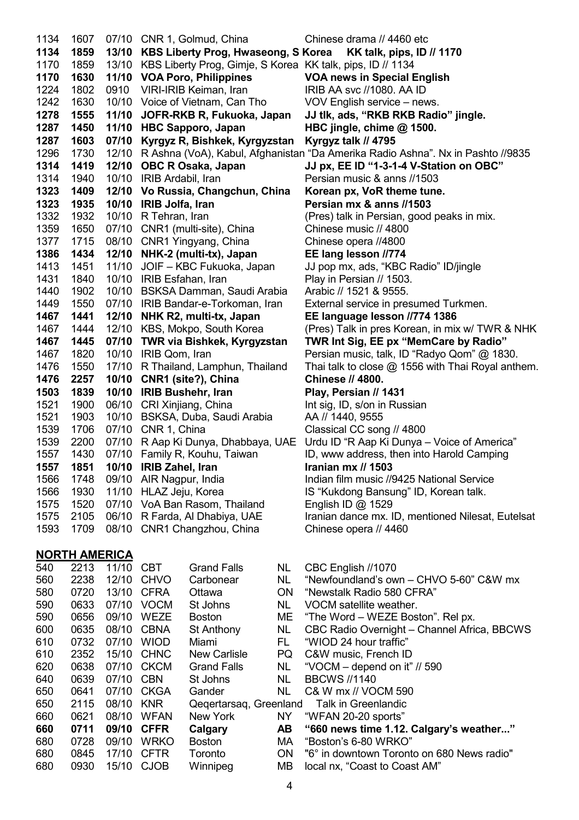| 1134 | 1607 |      | 07/10 CNR 1, Golmud, China                                          | Chinese drama // 4460 etc                                                             |
|------|------|------|---------------------------------------------------------------------|---------------------------------------------------------------------------------------|
| 1134 | 1859 |      | 13/10 KBS Liberty Prog, Hwaseong, S Korea KK talk, pips, ID // 1170 |                                                                                       |
| 1170 | 1859 |      | 13/10 KBS Liberty Prog, Gimje, S Korea KK talk, pips, ID // 1134    |                                                                                       |
| 1170 | 1630 |      | 11/10 VOA Poro, Philippines                                         | <b>VOA news in Special English</b>                                                    |
| 1224 | 1802 | 0910 | VIRI-IRIB Keiman, Iran                                              | IRIB AA svc //1080. AA ID                                                             |
| 1242 | 1630 |      | 10/10 Voice of Vietnam, Can Tho                                     | VOV English service – news.                                                           |
| 1278 | 1555 |      | 11/10 JOFR-RKB R, Fukuoka, Japan                                    | JJ tlk, ads, "RKB RKB Radio" jingle.                                                  |
| 1287 | 1450 |      | 11/10 HBC Sapporo, Japan                                            | HBC jingle, chime @ 1500.                                                             |
| 1287 | 1603 |      | 07/10 Kyrgyz R, Bishkek, Kyrgyzstan                                 | Kyrgyz talk // 4795                                                                   |
| 1296 | 1730 |      |                                                                     | 12/10 R Ashna (VoA), Kabul, Afghanistan "Da Amerika Radio Ashna". Nx in Pashto //9835 |
| 1314 | 1419 |      | 12/10 OBC R Osaka, Japan                                            | JJ px, EE ID "1-3-1-4 V-Station on OBC"                                               |
| 1314 | 1940 |      | 10/10 IRIB Ardabil, Iran                                            | Persian music & anns //1503                                                           |
| 1323 | 1409 |      | 12/10 Vo Russia, Changchun, China                                   | Korean px, VoR theme tune.                                                            |
| 1323 | 1935 |      | 10/10 IRIB Jolfa, Iran                                              | Persian mx & anns //1503                                                              |
| 1332 | 1932 |      | 10/10 R Tehran, Iran                                                | (Pres) talk in Persian, good peaks in mix.                                            |
| 1359 | 1650 |      | 07/10 CNR1 (multi-site), China                                      | Chinese music // 4800                                                                 |
| 1377 | 1715 |      | 08/10 CNR1 Yingyang, China                                          | Chinese opera //4800                                                                  |
| 1386 | 1434 |      | 12/10 NHK-2 (multi-tx), Japan                                       | EE lang lesson //774                                                                  |
| 1413 | 1451 |      | 11/10 JOIF - KBC Fukuoka, Japan                                     | JJ pop mx, ads, "KBC Radio" ID/jingle                                                 |
| 1431 | 1840 |      | 10/10 IRIB Esfahan, Iran                                            | Play in Persian // 1503.                                                              |
| 1440 | 1902 |      | 10/10 BSKSA Damman, Saudi Arabia                                    | Arabic // 1521 & 9555.                                                                |
| 1449 | 1550 |      | 07/10 IRIB Bandar-e-Torkoman, Iran                                  | External service in presumed Turkmen.                                                 |
| 1467 | 1441 |      | 12/10 NHK R2, multi-tx, Japan                                       | EE language lesson //774 1386                                                         |
| 1467 | 1444 |      | 12/10 KBS, Mokpo, South Korea                                       | (Pres) Talk in pres Korean, in mix w/ TWR & NHK                                       |
| 1467 | 1445 |      | 07/10 TWR via Bishkek, Kyrgyzstan                                   | TWR Int Sig, EE px "MemCare by Radio"                                                 |
| 1467 | 1820 |      | 10/10 IRIB Qom, Iran                                                | Persian music, talk, ID "Radyo Qom" @ 1830.                                           |
| 1476 | 1550 |      | 17/10 R Thailand, Lamphun, Thailand                                 | Thai talk to close @ 1556 with Thai Royal anthem.                                     |
| 1476 | 2257 |      | 10/10 CNR1 (site?), China                                           | <b>Chinese // 4800.</b>                                                               |
| 1503 | 1839 |      | 10/10 IRIB Bushehr, Iran                                            | Play, Persian // 1431                                                                 |
| 1521 | 1900 |      | 06/10 CRI Xinjiang, China                                           | Int sig, ID, s/on in Russian                                                          |
| 1521 | 1903 |      | 10/10 BSKSA, Duba, Saudi Arabia                                     | AA // 1440, 9555                                                                      |
| 1539 | 1706 |      | 07/10 CNR 1, China                                                  | Classical CC song // 4800                                                             |
| 1539 | 2200 |      | 07/10 R Aap Ki Dunya, Dhabbaya, UAE                                 | Urdu ID "R Aap Ki Dunya - Voice of America"                                           |
| 1557 | 1430 |      | 07/10 Family R, Kouhu, Taiwan                                       | ID, www address, then into Harold Camping                                             |
| 1557 | 1851 |      | 10/10 IRIB Zahel, Iran                                              | Iranian mx // 1503                                                                    |
| 1566 | 1748 |      | 09/10 AIR Nagpur, India                                             | Indian film music //9425 National Service                                             |
| 1566 | 1930 |      | 11/10 HLAZ Jeju, Korea                                              | IS "Kukdong Bansung" ID, Korean talk.                                                 |
| 1575 | 1520 |      | 07/10 VoA Ban Rasom, Thailand                                       | English ID @ 1529                                                                     |
| 1575 | 2105 |      | 06/10 R Farda, Al Dhabiya, UAE                                      | Iranian dance mx. ID, mentioned Nilesat, Eutelsat                                     |
| 1593 | 1709 |      | 08/10 CNR1 Changzhou, China                                         | Chinese opera // 4460                                                                 |

## NORTH AMERICA

| 540 | 2213 | 11/10 | <b>CBT</b>  | <b>Grand Falls</b>     | NL        | CBC English //1070                          |
|-----|------|-------|-------------|------------------------|-----------|---------------------------------------------|
| 560 | 2238 | 12/10 | <b>CHVO</b> | Carbonear              | <b>NL</b> | "Newfoundland's own - CHVO 5-60" C&W mx     |
| 580 | 0720 | 13/10 | <b>CFRA</b> | Ottawa                 | <b>ON</b> | "Newstalk Radio 580 CFRA"                   |
| 590 | 0633 | 07/10 | <b>VOCM</b> | St Johns               | <b>NL</b> | VOCM satellite weather.                     |
| 590 | 0656 | 09/10 | <b>WEZE</b> | <b>Boston</b>          | <b>ME</b> | "The Word – WEZE Boston". Rel px.           |
| 600 | 0635 | 08/10 | <b>CBNA</b> | St Anthony             | <b>NL</b> | CBC Radio Overnight - Channel Africa, BBCWS |
| 610 | 0732 | 07/10 | <b>WIOD</b> | Miami                  | FL.       | "WIOD 24 hour traffic"                      |
| 610 | 2352 | 15/10 | <b>CHNC</b> | <b>New Carlisle</b>    | <b>PQ</b> | C&W music, French ID                        |
| 620 | 0638 | 07/10 | <b>CKCM</b> | <b>Grand Falls</b>     | <b>NL</b> | "VOCM – depend on it" // 590                |
| 640 | 0639 | 07/10 | <b>CBN</b>  | St Johns               | <b>NL</b> | <b>BBCWS //1140</b>                         |
| 650 | 0641 | 07/10 | CKGA        | Gander                 | <b>NL</b> | C& W mx // VOCM 590                         |
| 650 | 2115 | 08/10 | <b>KNR</b>  | Qegertarsag, Greenland |           | Talk in Greenlandic                         |
| 660 | 0621 | 08/10 | <b>WFAN</b> | New York               | <b>NY</b> | "WFAN 20-20 sports"                         |
| 660 | 0711 | 09/10 | <b>CFFR</b> | Calgary                | AB        | "660 news time 1.12. Calgary's weather"     |
| 680 | 0728 | 09/10 | <b>WRKO</b> | Boston                 | MA.       | "Boston's 6-80 WRKO"                        |
| 680 | 0845 | 17/10 | <b>CFTR</b> | Toronto                | <b>ON</b> | "6° in downtown Toronto on 680 News radio"  |
| 680 | 0930 | 15/10 | <b>CJOB</b> | Winnipeg               | <b>MB</b> | local nx, "Coast to Coast AM"               |
|     |      |       |             |                        |           |                                             |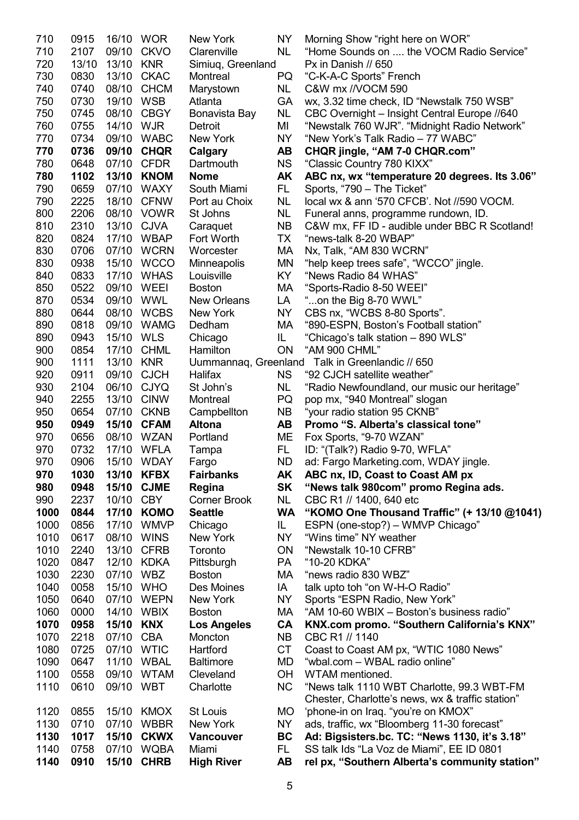| 710        | 0915         | 16/10 WOR  |                   | New York                     | <b>NY</b> | Morning Show "right here on WOR"                                              |
|------------|--------------|------------|-------------------|------------------------------|-----------|-------------------------------------------------------------------------------|
| 710        | 2107         |            | 09/10 CKVO        | Clarenville                  | <b>NL</b> | "Home Sounds on  the VOCM Radio Service"                                      |
| 720        | 13/10        | 13/10 KNR  |                   | Simiuq, Greenland            |           | Px in Danish // 650                                                           |
| 730        | 0830         |            | 13/10 CKAC        | Montreal                     | PQ        | "C-K-A-C Sports" French                                                       |
| 740        | 0740         | 08/10      | <b>CHCM</b>       | Marystown                    | NL.       | C&W mx //VOCM 590                                                             |
| 750        | 0730         | 19/10      | <b>WSB</b>        | Atlanta                      | <b>GA</b> | wx, 3.32 time check, ID "Newstalk 750 WSB"                                    |
| 750        | 0745         | 08/10      | <b>CBGY</b>       | Bonavista Bay                | <b>NL</b> | CBC Overnight - Insight Central Europe //640                                  |
| 760        | 0755         | 14/10 WJR  |                   | Detroit                      | MI        | "Newstalk 760 WJR". "Midnight Radio Network"                                  |
| 770        | 0734         |            | 09/10 WABC        | New York                     | <b>NY</b> | "New York's Talk Radio - 77 WABC"                                             |
| 770        | 0736         |            | 09/10 CHQR        | Calgary                      | AB        | CHQR jingle, "AM 7-0 CHQR.com"                                                |
| 780        | 0648         |            | 07/10 CFDR        | Dartmouth                    | <b>NS</b> | "Classic Country 780 KIXX"                                                    |
| 780        | 1102         | 13/10      | <b>KNOM</b>       | <b>Nome</b>                  | <b>AK</b> | ABC nx, wx "temperature 20 degrees. Its 3.06"                                 |
| 790        | 0659         | 07/10      | <b>WAXY</b>       | South Miami                  | FL.       | Sports, "790 - The Ticket"                                                    |
| 790        | 2225         | 18/10      | <b>CFNW</b>       | Port au Choix                | <b>NL</b> | local wx & ann '570 CFCB'. Not //590 VOCM.                                    |
| 800        | 2206         |            | 08/10 VOWR        | St Johns                     | <b>NL</b> | Funeral anns, programme rundown, ID.                                          |
| 810        | 2310         |            | 13/10 CJVA        | Caraquet                     | <b>NB</b> | C&W mx, FF ID - audible under BBC R Scotland!                                 |
| 820        | 0824         |            | 17/10 WBAP        | Fort Worth                   | <b>TX</b> | "news-talk 8-20 WBAP"                                                         |
| 830        | 0706         |            | 07/10 WCRN        | Worcester                    | МA        | Nx, Talk, "AM 830 WCRN"                                                       |
| 830        | 0938         |            | 15/10 WCCO        | Minneapolis                  | ΜN        | "help keep trees safe", "WCCO" jingle.                                        |
| 840        | 0833         |            | 17/10 WHAS        | Louisville                   | KY.       | "News Radio 84 WHAS"                                                          |
| 850        | 0522         | 09/10 WEEI |                   | <b>Boston</b>                | MA        |                                                                               |
| 870        | 0534         | 09/10 WWL  |                   | <b>New Orleans</b>           |           | "Sports-Radio 8-50 WEEI"<br>"on the Big 8-70 WWL"                             |
|            |              |            |                   |                              | LA        |                                                                               |
| 880        | 0644         |            | 08/10 WCBS        | New York                     | <b>NY</b> | CBS nx, "WCBS 8-80 Sports".                                                   |
| 890        | 0818         |            | 09/10 WAMG        | Dedham                       | MA        | "890-ESPN, Boston's Football station"                                         |
| 890        | 0943         | 15/10 WLS  |                   | Chicago                      | IL.       | "Chicago's talk station - 890 WLS"                                            |
| 900<br>900 | 0854<br>1111 | 13/10 KNR  | 17/10 CHML        | Hamilton                     | <b>ON</b> | "AM 900 CHML"                                                                 |
| 920        | 0911         | 09/10 CJCH |                   | Halifax                      | <b>NS</b> | Uummannaq, Greenland Talk in Greenlandic // 650                               |
| 930        | 2104         | 06/10      | <b>CJYQ</b>       | St John's                    | NL.       | "92 CJCH satellite weather"                                                   |
| 940        | 2255         | 13/10      | <b>CINW</b>       | Montreal                     | PQ        | "Radio Newfoundland, our music our heritage"<br>pop mx, "940 Montreal" slogan |
| 950        | 0654         | 07/10      | <b>CKNB</b>       |                              | <b>NB</b> | "your radio station 95 CKNB"                                                  |
| 950        | 0949         |            | 15/10 CFAM        | Campbellton<br><b>Altona</b> | AB        | Promo "S. Alberta's classical tone"                                           |
| 970        | 0656         |            | 08/10 WZAN        | Portland                     | ME        | Fox Sports, "9-70 WZAN"                                                       |
| 970        | 0732         |            | 17/10 WFLA        |                              | FL.       | ID: "(Talk?) Radio 9-70, WFLA"                                                |
| 970        | 0906         |            | 15/10 WDAY        | Tampa                        | ND.       | ad: Fargo Marketing.com, WDAY jingle.                                         |
| 970        | 1030         |            | 13/10 KFBX        | Fargo<br><b>Fairbanks</b>    | <b>AK</b> | ABC nx, ID, Coast to Coast AM px                                              |
| 980        | 0948         |            | 15/10 CJME        | Regina                       | <b>SK</b> | "News talk 980com" promo Regina ads.                                          |
| 990        | 2237         | 10/10      | <b>CBY</b>        | <b>Corner Brook</b>          | <b>NL</b> | CBC R1 // 1400, 640 etc                                                       |
| 1000       | 0844         |            | 17/10 KOMO        | <b>Seattle</b>               | <b>WA</b> | "KOMO One Thousand Traffic" (+ 13/10 @1041)                                   |
| 1000       | 0856         | 17/10      | <b>WMVP</b>       | Chicago                      | IL.       | ESPN (one-stop?) - WMVP Chicago"                                              |
| 1010       | 0617         | 08/10 WINS |                   | New York                     | <b>NY</b> | "Wins time" NY weather                                                        |
| 1010       | 2240         |            | 13/10 CFRB        | Toronto                      | ON        | "Newstalk 10-10 CFRB"                                                         |
| 1020       | 0847         | 12/10      | <b>KDKA</b>       | Pittsburgh                   | PA        | "10-20 KDKA"                                                                  |
| 1030       | 2230         | 07/10      | <b>WBZ</b>        | <b>Boston</b>                | МA        | "news radio 830 WBZ"                                                          |
| 1040       | 0058         | 15/10      | <b>WHO</b>        | Des Moines                   | IA        | talk upto toh "on W-H-O Radio"                                                |
| 1050       | 0640         |            | 07/10 WEPN        | New York                     | <b>NY</b> | Sports "ESPN Radio, New York"                                                 |
| 1060       | 0000         |            | 14/10 WBIX        | <b>Boston</b>                | МA        | "AM 10-60 WBIX - Boston's business radio"                                     |
| 1070       | 0958         | 15/10 KNX  |                   | <b>Los Angeles</b>           | CA        | KNX.com promo. "Southern California's KNX"                                    |
| 1070       | 2218         | 07/10 CBA  |                   | Moncton                      | <b>NB</b> | CBC R1 // 1140                                                                |
| 1080       | 0725         | 07/10 WTIC |                   | Hartford                     | <b>CT</b> | Coast to Coast AM px, "WTIC 1080 News"                                        |
| 1090       | 0647         | 11/10      | <b>WBAL</b>       | <b>Baltimore</b>             | <b>MD</b> | "wbal.com - WBAL radio online"                                                |
| 1100       | 0558         | 09/10      | <b>WTAM</b>       | Cleveland                    | <b>OH</b> | WTAM mentioned.                                                               |
| 1110       | 0610         | 09/10      | <b>WBT</b>        | Charlotte                    | <b>NC</b> | "News talk 1110 WBT Charlotte, 99.3 WBT-FM                                    |
|            |              |            |                   |                              |           | Chester, Charlotte's news, wx & traffic station"                              |
| 1120       | 0855         |            | 15/10 KMOX        | <b>St Louis</b>              | <b>MO</b> | 'phone-in on Iraq. "you're on KMOX"                                           |
| 1130       | 0710         | 07/10      | <b>WBBR</b>       | New York                     | NY.       | ads, traffic, wx "Bloomberg 11-30 forecast"                                   |
| 1130       | 1017         |            | 15/10 CKWX        | <b>Vancouver</b>             | <b>BC</b> | Ad: Bigsisters.bc. TC: "News 1130, it's 3.18"                                 |
| 1140       | 0758         | 07/10      | WQBA              | Miami                        | FL.       | SS talk Ids "La Voz de Miami", EE ID 0801                                     |
| 1140       | 0910         |            | <b>15/10 CHRB</b> | <b>High River</b>            | AB        | rel px, "Southern Alberta's community station"                                |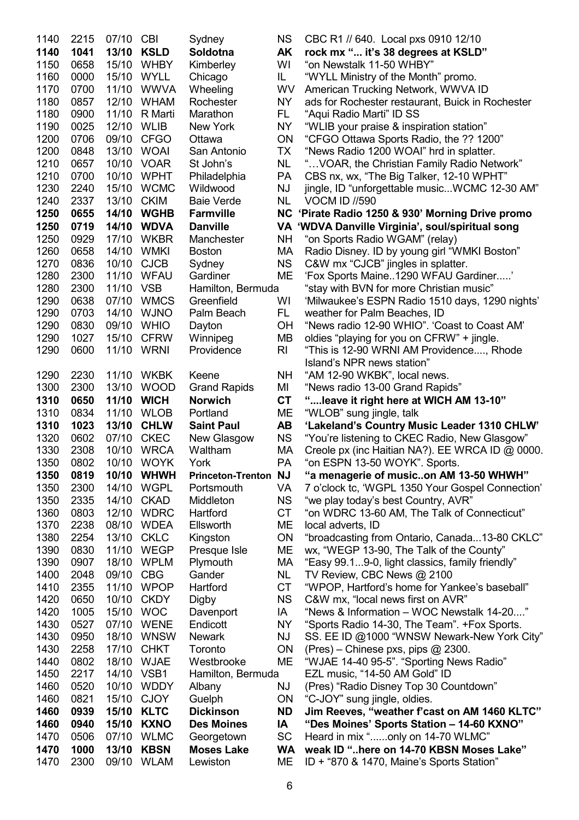| 1140 | 2215 | 07/10 CBI |             | Sydney                      | <b>NS</b> | CBC R1 // 640. Local pxs 0910 12/10              |
|------|------|-----------|-------------|-----------------------------|-----------|--------------------------------------------------|
| 1140 | 1041 | 13/10     | <b>KSLD</b> | Soldotna                    | AK        | rock mx " it's 38 degrees at KSLD"               |
| 1150 | 0658 | 15/10     | <b>WHBY</b> | Kimberley                   | WI        | "on Newstalk 11-50 WHBY"                         |
| 1160 | 0000 | 15/10     | <b>WYLL</b> | Chicago                     | IL.       | "WYLL Ministry of the Month" promo.              |
| 1170 | 0700 | 11/10     | <b>WWVA</b> | Wheeling                    | WV        | American Trucking Network, WWVA ID               |
| 1180 | 0857 | 12/10     | <b>WHAM</b> | Rochester                   | NY.       | ads for Rochester restaurant, Buick in Rochester |
| 1180 | 0900 | 11/10     | R Marti     | Marathon                    | FL.       | "Aqui Radio Marti" ID SS                         |
| 1190 | 0025 | 12/10     | <b>WLIB</b> | New York                    | <b>NY</b> | "WLIB your praise & inspiration station"         |
| 1200 | 0706 | 09/10     | <b>CFGO</b> | Ottawa                      | ON        | "CFGO Ottawa Sports Radio, the ?? 1200"          |
| 1200 | 0848 | 13/10     | <b>WOAI</b> | San Antonio                 | TX        | "News Radio 1200 WOAI" hrd in splatter.          |
| 1210 | 0657 | 10/10     | <b>VOAR</b> | St John's                   | NL        | " VOAR, the Christian Family Radio Network"      |
| 1210 | 0700 | 10/10     | <b>WPHT</b> | Philadelphia                | PA        | CBS nx, wx, "The Big Talker, 12-10 WPHT"         |
| 1230 | 2240 | 15/10     | <b>WCMC</b> | Wildwood                    | <b>NJ</b> | jingle, ID "unforgettable musicWCMC 12-30 AM"    |
| 1240 | 2337 | 13/10     | <b>CKIM</b> | <b>Baie Verde</b>           | NL        | <b>VOCM ID //590</b>                             |
| 1250 | 0655 | 14/10     | <b>WGHB</b> | Farmville                   | <b>NC</b> | 'Pirate Radio 1250 & 930' Morning Drive promo    |
| 1250 | 0719 | 14/10     | <b>WDVA</b> | <b>Danville</b>             |           | VA 'WDVA Danville Virginia', soul/spiritual song |
| 1250 | 0929 | 17/10     | <b>WKBR</b> | Manchester                  | NΗ        | "on Sports Radio WGAM" (relay)                   |
| 1260 | 0658 | 14/10     | <b>WMKI</b> | <b>Boston</b>               | МA        | Radio Disney. ID by young girl "WMKI Boston"     |
| 1270 | 0836 | 10/10     | <b>CJCB</b> | Sydney                      | <b>NS</b> | C&W mx "CJCB" jingles in splatter.               |
| 1280 | 2300 | 11/10     | <b>WFAU</b> | Gardiner                    | ME        | 'Fox Sports Maine1290 WFAU Gardiner'             |
| 1280 | 2300 | 11/10     | <b>VSB</b>  | Hamilton, Bermuda           |           | "stay with BVN for more Christian music"         |
| 1290 | 0638 | 07/10     | <b>WMCS</b> | Greenfield                  | WI        | 'Milwaukee's ESPN Radio 1510 days, 1290 nights'  |
| 1290 | 0703 | 14/10     | <b>WJNO</b> | Palm Beach                  | FL.       | weather for Palm Beaches, ID                     |
| 1290 | 0830 | 09/10     | <b>WHIO</b> | Dayton                      | <b>OH</b> | "News radio 12-90 WHIO". 'Coast to Coast AM'     |
| 1290 | 1027 | 15/10     | <b>CFRW</b> | Winnipeg                    | MВ        | oldies "playing for you on CFRW" + jingle.       |
| 1290 | 0600 | 11/10     | <b>WRNI</b> | Providence                  | RI        | "This is 12-90 WRNI AM Providence, Rhode         |
|      |      |           |             |                             |           | Island's NPR news station"                       |
| 1290 | 2230 | 11/10     | <b>WKBK</b> | Keene                       | NΗ        | "AM 12-90 WKBK", local news.                     |
| 1300 | 2300 | 13/10     | <b>WOOD</b> | <b>Grand Rapids</b>         | MI        | "News radio 13-00 Grand Rapids"                  |
| 1310 | 0650 | 11/10     | <b>WICH</b> | <b>Norwich</b>              | <b>CT</b> | " leave it right here at WICH AM 13-10"          |
| 1310 | 0834 | 11/10     | <b>WLOB</b> | Portland                    | MЕ        | "WLOB" sung jingle, talk                         |
| 1310 | 1023 | 13/10     | <b>CHLW</b> | <b>Saint Paul</b>           | <b>AB</b> | 'Lakeland's Country Music Leader 1310 CHLW'      |
| 1320 | 0602 | 07/10     | <b>CKEC</b> | New Glasgow                 | <b>NS</b> | "You're listening to CKEC Radio, New Glasgow"    |
| 1330 | 2308 | 10/10     | <b>WRCA</b> | Waltham                     | МA        | Creole px (inc Haitian NA?). EE WRCA ID @ 0000.  |
| 1350 | 0802 |           | 10/10 WOYK  | York                        | PA        | "on ESPN 13-50 WOYK". Sports.                    |
| 1350 | 0819 | 10/10     | <b>WHWH</b> | <b>Princeton-Trenton NJ</b> |           | "a menagerie of musicon AM 13-50 WHWH"           |
| 1350 | 2300 | 14/10     | <b>WGPL</b> | Portsmouth                  | VA        | 7 o'clock tc, 'WGPL 1350 Your Gospel Connection' |
| 1350 | 2335 | 14/10     | <b>CKAD</b> | Middleton                   | <b>NS</b> | "we play today's best Country, AVR"              |
| 1360 | 0803 | 12/10     | <b>WDRC</b> | Hartford                    | <b>CT</b> | "on WDRC 13-60 AM, The Talk of Connecticut"      |
| 1370 | 2238 | 08/10     | <b>WDEA</b> | Ellsworth                   | ME        | local adverts, ID                                |
| 1380 | 2254 | 13/10     | <b>CKLC</b> | Kingston                    | ON        | "broadcasting from Ontario, Canada13-80 CKLC"    |
| 1390 | 0830 | 11/10     | <b>WEGP</b> | Presque Isle                | МE        | wx, "WEGP 13-90, The Talk of the County"         |
| 1390 | 0907 | 18/10     | <b>WPLM</b> | Plymouth                    | МA        | "Easy 99.19-0, light classics, family friendly"  |
| 1400 | 2048 | 09/10     | <b>CBG</b>  | Gander                      | NL.       | TV Review, CBC News @ 2100                       |
| 1410 | 2355 | 11/10     | <b>WPOP</b> | Hartford                    | <b>CT</b> | "WPOP, Hartford's home for Yankee's baseball"    |
| 1420 | 0650 | 10/10     | <b>CKDY</b> | <b>Digby</b>                | <b>NS</b> | C&W mx, "local news first on AVR"                |
| 1420 | 1005 | 15/10     | <b>WOC</b>  | Davenport                   | ΙA        | "News & Information - WOC Newstalk 14-20"        |
| 1430 | 0527 | 07/10     | <b>WENE</b> | Endicott                    | <b>NY</b> | "Sports Radio 14-30, The Team". +Fox Sports.     |
| 1430 | 0950 | 18/10     | <b>WNSW</b> | <b>Newark</b>               | NJ        | SS. EE ID @1000 "WNSW Newark-New York City"      |
| 1430 | 2258 | 17/10     | <b>CHKT</b> | Toronto                     | ON        | $(Pres) - Chinese pxs, pipes @ 2300.$            |
| 1440 | 0802 | 18/10     | <b>WJAE</b> | Westbrooke                  | <b>ME</b> | "WJAE 14-40 95-5". "Sporting News Radio"         |
| 1450 | 2217 | 14/10     | VSB1        | Hamilton, Bermuda           |           | EZL music, "14-50 AM Gold" ID                    |
| 1460 | 0520 | 10/10     | <b>WDDY</b> | Albany                      | ΝJ        | (Pres) "Radio Disney Top 30 Countdown"           |
| 1460 | 0821 | 15/10     | <b>CJOY</b> | Guelph                      | <b>ON</b> | "C-JOY" sung jingle, oldies.                     |
| 1460 | 0939 | 15/10     | <b>KLTC</b> | <b>Dickinson</b>            | <b>ND</b> | Jim Reeves, "weather f'cast on AM 1460 KLTC"     |
| 1460 | 0940 | 15/10     | <b>KXNO</b> | <b>Des Moines</b>           | IA        | "Des Moines' Sports Station - 14-60 KXNO"        |
| 1470 | 0506 | 07/10     | <b>WLMC</b> | Georgetown                  | SC        | Heard in mix "only on 14-70 WLMC"                |
| 1470 | 1000 | 13/10     | <b>KBSN</b> | <b>Moses Lake</b>           | WA        | weak ID "here on 14-70 KBSN Moses Lake"          |
| 1470 | 2300 | 09/10     | <b>WLAM</b> | Lewiston                    | MЕ        | ID + "870 & 1470, Maine's Sports Station"        |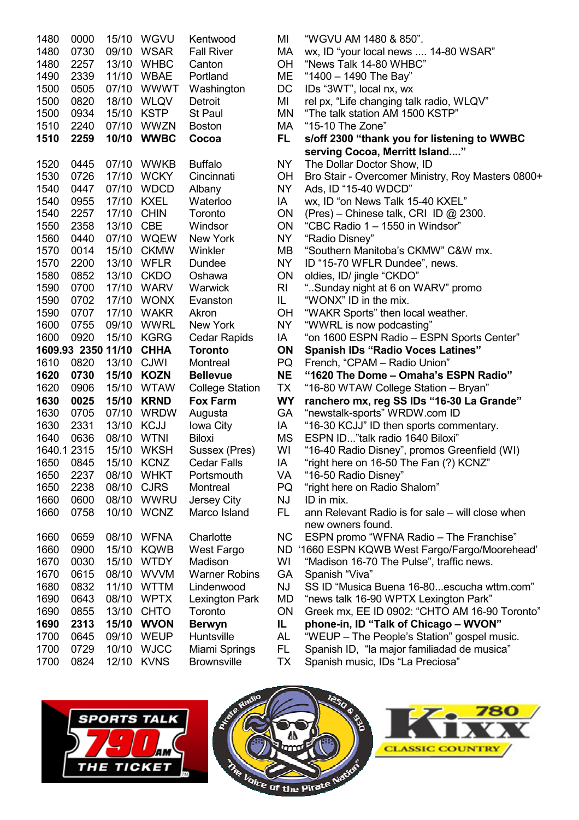| 1480<br>1480<br>1480<br>1490<br>1500<br>1500<br>1500<br>1510<br>1510 | 0000<br>0730<br>2257<br>2339<br>0505<br>0820<br>0934<br>2240<br>2259 | 15/10<br>09/10<br>13/10<br>11/10<br>07/10<br>18/10<br>15/10<br>07/10<br>10/10 | WGVU<br><b>WSAR</b><br><b>WHBC</b><br><b>WBAE</b><br><b>WWWT</b><br>WLQV<br><b>KSTP</b><br>WWZN<br><b>WWBC</b> | Kentwood<br><b>Fall River</b><br>Canton<br>Portland<br>Washington<br>Detroit<br><b>St Paul</b><br><b>Boston</b><br>Cocoa |
|----------------------------------------------------------------------|----------------------------------------------------------------------|-------------------------------------------------------------------------------|----------------------------------------------------------------------------------------------------------------|--------------------------------------------------------------------------------------------------------------------------|
| 1520                                                                 | 0445                                                                 | 07/10                                                                         | <b>WWKB</b>                                                                                                    | <b>Buffalo</b>                                                                                                           |
| 1530<br>1540                                                         | 0726<br>0447                                                         | 17/10<br>07/10                                                                | <b>WCKY</b><br><b>WDCD</b>                                                                                     | Cincinnati<br>Albany                                                                                                     |
| 1540                                                                 | 0955                                                                 | 17/10                                                                         | <b>KXEL</b>                                                                                                    | Waterloo                                                                                                                 |
| 1540                                                                 | 2257                                                                 | 17/10                                                                         | <b>CHIN</b>                                                                                                    | Toronto                                                                                                                  |
| 1550                                                                 | 2358                                                                 | 13/10                                                                         | <b>CBE</b>                                                                                                     | Windsor                                                                                                                  |
| 1560                                                                 | 0440                                                                 | 07/10                                                                         | <b>WQEW</b>                                                                                                    | <b>New York</b>                                                                                                          |
| 1570                                                                 | 0014                                                                 | 15/10                                                                         | <b>CKMW</b>                                                                                                    | Winkler                                                                                                                  |
| 1570<br>1580                                                         | 2200<br>0852                                                         | 13/10<br>13/10                                                                | WFLR<br><b>CKDO</b>                                                                                            | Dundee<br>Oshawa                                                                                                         |
| 1590                                                                 | 0700                                                                 | 17/10                                                                         | <b>WARV</b>                                                                                                    | Warwick                                                                                                                  |
| 1590                                                                 | 0702                                                                 | 17/10                                                                         | <b>WONX</b>                                                                                                    | Evanston                                                                                                                 |
| 1590                                                                 | 0707                                                                 | 17/10                                                                         | <b>WAKR</b>                                                                                                    | Akron                                                                                                                    |
| 1600                                                                 | 0755                                                                 | 09/10                                                                         | <b>WWRL</b>                                                                                                    | <b>New York</b>                                                                                                          |
| 1600                                                                 | 0920                                                                 | 15/10                                                                         | KGRG                                                                                                           | <b>Cedar Rapids</b>                                                                                                      |
| 1609.93                                                              | 2350                                                                 | 11/10                                                                         | <b>CHHA</b>                                                                                                    | <b>Toronto</b>                                                                                                           |
| 1610<br>1620                                                         | 0820<br>0730                                                         | 13/10<br>15/10                                                                | <b>CJWI</b><br><b>KOZN</b>                                                                                     | Montreal<br><b>Bellevue</b>                                                                                              |
| 1620                                                                 | 0906                                                                 | 15/10                                                                         | <b>WTAW</b>                                                                                                    | <b>College Station</b>                                                                                                   |
| 1630                                                                 | 0025                                                                 | 15/10                                                                         | <b>KRND</b>                                                                                                    | <b>Fox Farm</b>                                                                                                          |
| 1630                                                                 | 0705                                                                 | 07/10                                                                         | <b>WRDW</b>                                                                                                    | Augusta                                                                                                                  |
| 1630                                                                 |                                                                      | 13/10                                                                         | <b>KCJJ</b>                                                                                                    | Iowa City                                                                                                                |
|                                                                      | 2331                                                                 |                                                                               |                                                                                                                |                                                                                                                          |
| 1640                                                                 | 0636                                                                 | 08/10                                                                         | <b>WTNI</b>                                                                                                    | <b>Biloxi</b>                                                                                                            |
| 1640.1                                                               | 2315                                                                 | 15/10                                                                         | <b>WKSH</b>                                                                                                    | Sussex (Pres)                                                                                                            |
| 1650                                                                 | 0845                                                                 | 15/10                                                                         | <b>KCNZ</b>                                                                                                    | <b>Cedar Falls</b>                                                                                                       |
| 1650                                                                 | 2237                                                                 | 08/10                                                                         | <b>WHKT</b>                                                                                                    | Portsmouth                                                                                                               |
| 1650                                                                 | 2238                                                                 | 08/10                                                                         | <b>CJRS</b>                                                                                                    | Montreal                                                                                                                 |
| 1660<br>1660                                                         | 0600<br>0758                                                         | 08/10<br>10/10                                                                | <b>WWRU</b><br><b>WCNZ</b>                                                                                     | <b>Jersey City</b><br>Marco Island                                                                                       |
| 1660                                                                 | 0659                                                                 | 08/10                                                                         | <b>WFNA</b>                                                                                                    | Charlotte                                                                                                                |
| 1660                                                                 | 0900                                                                 | 15/10                                                                         | <b>KQWB</b>                                                                                                    | West Fargo                                                                                                               |
| 1670                                                                 | 0030                                                                 | 15/10                                                                         | <b>WTDY</b>                                                                                                    | Madison                                                                                                                  |
| 1670                                                                 | 0615                                                                 | 08/10                                                                         | <b>WVVM</b>                                                                                                    | <b>Warner Robins</b>                                                                                                     |
| 1680                                                                 | 0832                                                                 | 11/10                                                                         | <b>WTTM</b>                                                                                                    | Lindenwood                                                                                                               |
| 1690                                                                 | 0643                                                                 | 08/10                                                                         | <b>WPTX</b>                                                                                                    | Lexington Park                                                                                                           |
| 1690<br>1690                                                         | 0855<br>2313                                                         | 13/10<br>15/10                                                                | <b>CHTO</b><br><b>WVON</b>                                                                                     | Toronto                                                                                                                  |
| 1700                                                                 | 0645                                                                 | 09/10                                                                         | WEUP                                                                                                           | <b>Berwyn</b><br>Huntsville                                                                                              |
| 1700                                                                 | 0729                                                                 | 10/10                                                                         | <b>WJCC</b>                                                                                                    | Miami Springs                                                                                                            |

MI "WGVU AM 1480 & 850". MA wx, ID "your local news .... 14-80 WSAR" OH "News Talk 14-80 WHBC" ME "1400 - 1490 The Bay"<br>DC IDs "3WT", local nx, wx 1Ds "3WT", local nx, wx MI rel px, "Life changing talk radio, WLQV" MN "The talk station AM 1500 KSTP" MA "15-10 The Zone" FL s/off 2300 "thank you for listening to WWBC serving Cocoa, Merritt Island...." NY The Dollar Doctor Show, ID OH Bro Stair - Overcomer Ministry, Roy Masters 0800+ NY Ads, ID "15-40 WDCD" 1A wx, ID "on News Talk 15-40 KXEL" ON (Pres) – Chinese talk, CRI ID  $@$  2300. ON "CBC Radio  $1 - 1550$  in Windsor" NY "Radio Disney" MB "Southern Manitoba's CKMW" C&W mx. NY ID "15-70 WFLR Dundee", news. ON oldies, ID/ jingle "CKDO" RI "..Sunday night at 6 on WARV" promo  $IL$  "WONX" ID in the mix. OH "WAKR Sports" then local weather. NY "WWRL is now podcasting" 1A "on 1600 ESPN Radio – ESPN Sports Center" ON Spanish IDs "Radio Voces Latines" PQ French, "CPAM – Radio Union" NE "1620 The Dome – Omaha's ESPN Radio" TX "16-80 WTAW College Station – Bryan" WY ranchero mx, reg SS IDs "16-30 La Grande" GA "newstalk-sports" WRDW.com ID 1A "16-30 KCJJ" ID then sports commentary. MS ESPN ID..."talk radio 1640 Biloxi" WI "16-40 Radio Disney", promos Greenfield (WI) 1A "right here on 16-50 The Fan (?) KCNZ" VA "16-50 Radio Disney"<br>PO "right here on Radio S "right here on Radio Shalom"  $N<sub>1</sub>$  ID in mix.  $FL$  ann Relevant Radio is for sale – will close when new owners found. NC ESPN promo "WFNA Radio – The Franchise" ND '1660 ESPN KQWB West Fargo/Fargo/Moorehead' WI "Madison 16-70 The Pulse", traffic news. GA Spanish "Viva" NJ SS ID "Musica Buena 16-80...escucha wttm.com" MD "news talk 16-90 WPTX Lexington Park" ON Greek mx, EE ID 0902: "CHTO AM 16-90 Toronto" IL phone-in, ID "Talk of Chicago – WVON" AL "WEUP – The People's Station" gospel music. FL Spanish ID, "la major familiadad de musica" TX Spanish music, IDs "La Preciosa"





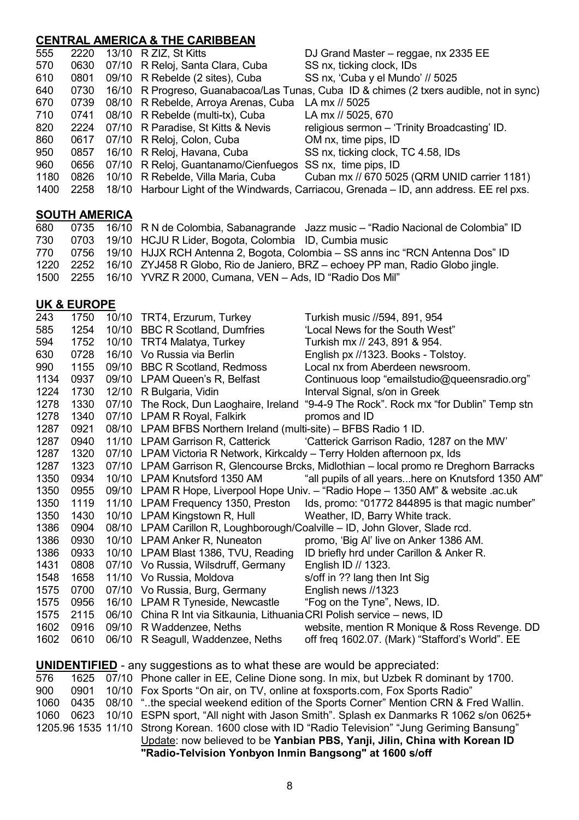## CENTRAL AMERICA & THE CARIBBEAN

| 555  | 2220 | 13/10 R ZIZ, St Kitts                                     | DJ Grand Master - reggae, nx 2335 EE                                                    |
|------|------|-----------------------------------------------------------|-----------------------------------------------------------------------------------------|
| 570  | 0630 | 07/10 R Reloj, Santa Clara, Cuba                          | SS nx, ticking clock, IDs                                                               |
| 610  | 0801 | 09/10 R Rebelde (2 sites), Cuba                           | SS nx, 'Cuba y el Mundo' // 5025                                                        |
| 640  | 0730 |                                                           | 16/10 R Progreso, Guanabacoa/Las Tunas, Cuba ID & chimes (2 txers audible, not in sync) |
| 670  | 0739 | 08/10 R Rebelde, Arroya Arenas, Cuba                      | LA mx // 5025                                                                           |
| 710  | 0741 | 08/10 R Rebelde (multi-tx), Cuba                          | LA mx // 5025, 670                                                                      |
| 820  | 2224 | 07/10 R Paradise, St Kitts & Nevis                        | religious sermon - 'Trinity Broadcasting' ID.                                           |
| 860  | 0617 | 07/10 R Reloj, Colon, Cuba                                | OM nx, time pips, ID                                                                    |
| 950  | 0857 | 16/10 R Reloj, Havana, Cuba                               | SS nx, ticking clock, TC 4.58, IDs                                                      |
| 960  | 0656 | 07/10 R Reloj, Guantanamo/Cienfuegos SS nx, time pips, ID |                                                                                         |
| 1180 | 0826 | 10/10 R Rebelde, Villa Maria, Cuba                        | Cuban mx // 670 5025 (QRM UNID carrier 1181)                                            |
| 1400 | 2258 |                                                           | 18/10 Harbour Light of the Windwards, Carriacou, Grenada – ID, ann address. EE rel pxs. |
|      |      |                                                           |                                                                                         |

## SOUTH AMERICA

| 680   |  | 0735 16/10 R N de Colombia, Sabanagrande Jazz music – "Radio Nacional de Colombia" ID    |
|-------|--|------------------------------------------------------------------------------------------|
| 730   |  | 0703 19/10 HCJU R Lider, Bogota, Colombia ID, Cumbia music                               |
| 770 — |  | 0756 19/10 HJJX RCH Antenna 2, Bogota, Colombia – SS anns inc "RCN Antenna Dos" ID       |
|       |  | 1220 2252 16/10 ZYJ458 R Globo, Rio de Janiero, BRZ – echoey PP man, Radio Globo jingle. |
|       |  | 1500 2255 16/10 YVRZ R 2000, Cumana, VEN - Ads, ID "Radio Dos Mil"                       |

## UK & EUROPE

| 243  | 1750 | 10/10 TRT4, Erzurum, Turkey                                                      | Turkish music //594, 891, 954                                                          |
|------|------|----------------------------------------------------------------------------------|----------------------------------------------------------------------------------------|
| 585  | 1254 | 10/10 BBC R Scotland, Dumfries                                                   | 'Local News for the South West"                                                        |
| 594  | 1752 | 10/10 TRT4 Malatya, Turkey                                                       | Turkish mx // 243, 891 & 954.                                                          |
| 630  | 0728 | 16/10 Vo Russia via Berlin                                                       | English px //1323. Books - Tolstoy.                                                    |
| 990  | 1155 | 09/10 BBC R Scotland, Redmoss                                                    | Local nx from Aberdeen newsroom.                                                       |
| 1134 | 0937 | 09/10 LPAM Queen's R, Belfast                                                    | Continuous loop "emailstudio@queensradio.org"                                          |
| 1224 | 1730 | 12/10 R Bulgaria, Vidin                                                          | Interval Signal, s/on in Greek                                                         |
| 1278 | 1330 |                                                                                  | 07/10 The Rock, Dun Laoghaire, Ireland "9-4-9 The Rock". Rock mx "for Dublin" Temp stn |
| 1278 | 1340 | 07/10 LPAM R Royal, Falkirk                                                      | promos and ID                                                                          |
| 1287 | 0921 | 08/10 LPAM BFBS Northern Ireland (multi-site) - BFBS Radio 1 ID.                 |                                                                                        |
| 1287 | 0940 | 11/10 LPAM Garrison R, Catterick                                                 | 'Catterick Garrison Radio, 1287 on the MW'                                             |
| 1287 | 1320 | 07/10 LPAM Victoria R Network, Kirkcaldy - Terry Holden afternoon px, Ids        |                                                                                        |
| 1287 | 1323 |                                                                                  | 07/10 LPAM Garrison R, Glencourse Brcks, Midlothian - local promo re Dreghorn Barracks |
| 1350 | 0934 | 10/10 LPAM Knutsford 1350 AM                                                     | "all pupils of all yearshere on Knutsford 1350 AM"                                     |
| 1350 | 0955 |                                                                                  | 09/10 LPAM R Hope, Liverpool Hope Univ. - "Radio Hope - 1350 AM" & website .ac.uk      |
| 1350 | 1119 | 11/10 LPAM Frequency 1350, Preston                                               | Ids, promo: "01772 844895 is that magic number"                                        |
| 1350 | 1430 | 10/10 LPAM Kingstown R, Hull                                                     | Weather, ID, Barry White track.                                                        |
| 1386 | 0904 |                                                                                  | 08/10 LPAM Carillon R, Loughborough/Coalville - ID, John Glover, Slade rcd.            |
| 1386 | 0930 | 10/10 LPAM Anker R, Nuneaton                                                     | promo, 'Big Al' live on Anker 1386 AM.                                                 |
| 1386 | 0933 | 10/10 LPAM Blast 1386, TVU, Reading                                              | ID briefly hrd under Carillon & Anker R.                                               |
| 1431 | 0808 | 07/10 Vo Russia, Wilsdruff, Germany                                              | English ID // 1323.                                                                    |
| 1548 | 1658 | 11/10 Vo Russia, Moldova                                                         | s/off in ?? lang then Int Sig                                                          |
| 1575 | 0700 | 07/10 Vo Russia, Burg, Germany                                                   | English news //1323                                                                    |
| 1575 | 0956 | 16/10 LPAM R Tyneside, Newcastle                                                 | "Fog on the Tyne", News, ID.                                                           |
| 1575 | 2115 | 06/10 China R Int via Sitkaunia, Lithuania CRI Polish service - news, ID         |                                                                                        |
| 1602 | 0916 | 09/10 R Waddenzee, Neths                                                         | website, mention R Monique & Ross Revenge. DD                                          |
| 1602 | 0610 | 06/10 R Seagull, Waddenzee, Neths                                                | off freq 1602.07. (Mark) "Stafford's World". EE                                        |
|      |      | <b>UNIDENTIFIED</b> - any suggestions as to what these are would be appreciated: |                                                                                        |
| 576  | 1625 |                                                                                  | 07/10 Phone caller in EE, Celine Dione song. In mix, but Uzbek R dominant by 1700.     |
| 900  | 0901 |                                                                                  | 10/10 Fox Sports "On air, on TV, online at foxsports.com, Fox Sports Radio"            |
| 1060 | 0435 |                                                                                  | 08/10 "the special weekend edition of the Sports Corner" Mention CRN & Fred Wallin.    |
|      |      |                                                                                  |                                                                                        |

1060 0623 10/10 ESPN sport, "All night with Jason Smith". Splash ex Danmarks R 1062 s/on 0625+ 1205.96 1535 11/10 Strong Korean. 1600 close with ID "Radio Television" "Jung Geriming Bansung"

Update: now believed to be Yanbian PBS, Yanji, Jilin, China with Korean ID "Radio-Telvision Yonbyon Inmin Bangsong" at 1600 s/off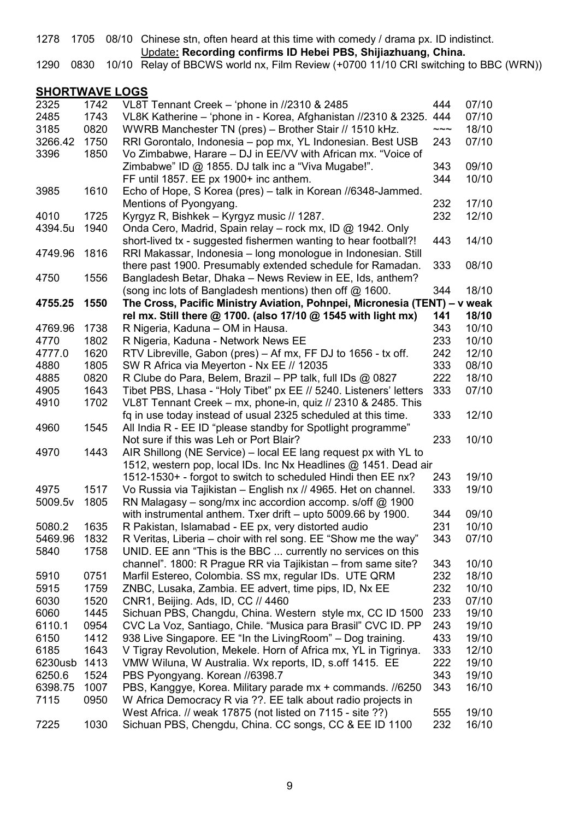1278 1705 08/10 Chinese stn, often heard at this time with comedy / drama px. ID indistinct.

Update: Recording confirms ID Hebei PBS, Shijiazhuang, China.

1290 0830 10/10 Relay of BBCWS world nx, Film Review (+0700 11/10 CRI switching to BBC (WRN))

## SHORTWAVE LOGS

| 2325    | 1742 | VL8T Tennant Creek - 'phone in //2310 & 2485                              | 444            | 07/10 |
|---------|------|---------------------------------------------------------------------------|----------------|-------|
| 2485    | 1743 | VL8K Katherine - 'phone in - Korea, Afghanistan //2310 & 2325.            | 444            | 07/10 |
| 3185    | 0820 | WWRB Manchester TN (pres) - Brother Stair // 1510 kHz.                    | $\sim\sim\sim$ | 18/10 |
| 3266.42 | 1750 | RRI Gorontalo, Indonesia - pop mx, YL Indonesian. Best USB                | 243            | 07/10 |
| 3396    | 1850 | Vo Zimbabwe, Harare - DJ in EE/VV with African mx. "Voice of              |                |       |
|         |      | Zimbabwe" ID @ 1855. DJ talk inc a "Viva Mugabe!".                        | 343            | 09/10 |
|         |      | FF until 1857. EE px 1900+ inc anthem.                                    | 344            | 10/10 |
| 3985    | 1610 | Echo of Hope, S Korea (pres) - talk in Korean //6348-Jammed.              |                |       |
|         |      | Mentions of Pyongyang.                                                    | 232            | 17/10 |
| 4010    | 1725 | Kyrgyz R, Bishkek - Kyrgyz music // 1287.                                 | 232            | 12/10 |
| 4394.5u | 1940 | Onda Cero, Madrid, Spain relay - rock mx, ID @ 1942. Only                 |                |       |
|         |      | short-lived tx - suggested fishermen wanting to hear football?!           | 443            | 14/10 |
| 4749.96 | 1816 | RRI Makassar, Indonesia - long monologue in Indonesian. Still             |                |       |
|         |      | there past 1900. Presumably extended schedule for Ramadan.                | 333            | 08/10 |
| 4750    | 1556 | Bangladesh Betar, Dhaka - News Review in EE, Ids, anthem?                 |                |       |
|         |      | (song inc lots of Bangladesh mentions) then off @ 1600.                   | 344            | 18/10 |
| 4755.25 | 1550 | The Cross, Pacific Ministry Aviation, Pohnpei, Micronesia (TENT) - v weak |                |       |
|         |      | rel mx. Still there @ 1700. (also 17/10 @ 1545 with light mx)             | 141            | 18/10 |
| 4769.96 | 1738 | R Nigeria, Kaduna - OM in Hausa.                                          | 343            | 10/10 |
| 4770    | 1802 | R Nigeria, Kaduna - Network News EE                                       | 233            | 10/10 |
| 4777.0  | 1620 | RTV Libreville, Gabon (pres) - Af mx, FF DJ to 1656 - tx off.             | 242            | 12/10 |
|         | 1805 |                                                                           | 333            | 08/10 |
| 4880    |      | SW R Africa via Meyerton - Nx EE // 12035                                 |                | 18/10 |
| 4885    | 0820 | R Clube do Para, Belem, Brazil - PP talk, full IDs @ 0827                 | 222            |       |
| 4905    | 1643 | Tibet PBS, Lhasa - "Holy Tibet" px EE // 5240. Listeners' letters         | 333            | 07/10 |
| 4910    | 1702 | VL8T Tennant Creek - mx, phone-in, quiz // 2310 & 2485. This              |                |       |
|         |      | fq in use today instead of usual 2325 scheduled at this time.             | 333            | 12/10 |
| 4960    | 1545 | All India R - EE ID "please standby for Spotlight programme"              |                |       |
|         |      | Not sure if this was Leh or Port Blair?                                   | 233            | 10/10 |
| 4970    | 1443 | AIR Shillong (NE Service) - local EE lang request px with YL to           |                |       |
|         |      | 1512, western pop, local IDs. Inc Nx Headlines @ 1451. Dead air           |                |       |
|         |      | 1512-1530+ - forgot to switch to scheduled Hindi then EE nx?              | 243            | 19/10 |
| 4975    | 1517 | Vo Russia via Tajikistan - English nx // 4965. Het on channel.            | 333            | 19/10 |
| 5009.5v | 1805 | RN Malagasy – song/mx inc accordion accomp. s/off $@$ 1900                |                |       |
|         |      | with instrumental anthem. Txer drift - upto 5009.66 by 1900.              | 344            | 09/10 |
| 5080.2  | 1635 | R Pakistan, Islamabad - EE px, very distorted audio                       | 231            | 10/10 |
| 5469.96 | 1832 | R Veritas, Liberia - choir with rel song. EE "Show me the way"            | 343            | 07/10 |
| 5840    | 1758 | UNID. EE ann "This is the BBC  currently no services on this              |                |       |
|         |      | channel". 1800: R Prague RR via Tajikistan - from same site?              | 343            | 10/10 |
| 5910    | 0751 | Marfil Estereo, Colombia. SS mx, regular IDs. UTE QRM                     | 232            | 18/10 |
| 5915    | 1759 | ZNBC, Lusaka, Zambia. EE advert, time pips, ID, Nx EE                     | 232            | 10/10 |
| 6030    | 1520 | CNR1, Beijing. Ads, ID, CC // 4460                                        | 233            | 07/10 |
| 6060    | 1445 | Sichuan PBS, Changdu, China. Western style mx, CC ID 1500                 | 233            | 19/10 |
| 6110.1  | 0954 | CVC La Voz, Santiago, Chile. "Musica para Brasil" CVC ID. PP              | 243            | 19/10 |
| 6150    | 1412 | 938 Live Singapore. EE "In the LivingRoom" - Dog training.                | 433            | 19/10 |
| 6185    | 1643 | V Tigray Revolution, Mekele. Horn of Africa mx, YL in Tigrinya.           | 333            | 12/10 |
| 6230usb | 1413 | VMW Wiluna, W Australia. Wx reports, ID, s.off 1415. EE                   | 222            | 19/10 |
| 6250.6  | 1524 | PBS Pyongyang. Korean //6398.7                                            | 343            | 19/10 |
| 6398.75 | 1007 | PBS, Kanggye, Korea. Military parade mx + commands. //6250                | 343            | 16/10 |
| 7115    | 0950 | W Africa Democracy R via ??. EE talk about radio projects in              |                |       |
|         |      | West Africa. // weak 17875 (not listed on 7115 - site ??)                 | 555            | 19/10 |
| 7225    | 1030 | Sichuan PBS, Chengdu, China. CC songs, CC & EE ID 1100                    | 232            | 16/10 |